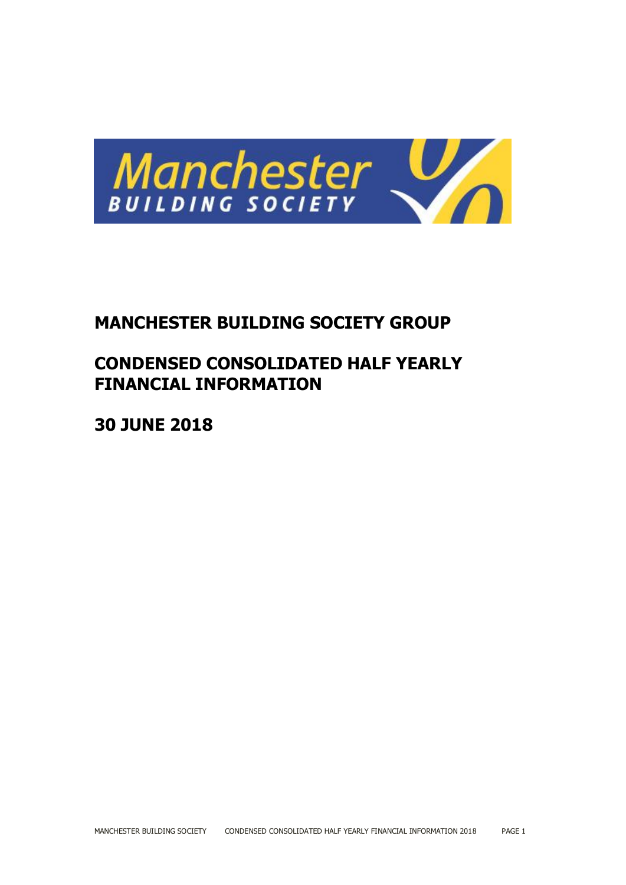

# **MANCHESTER BUILDING SOCIETY GROUP**

# **CONDENSED CONSOLIDATED HALF YEARLY FINANCIAL INFORMATION**

**30 JUNE 2018**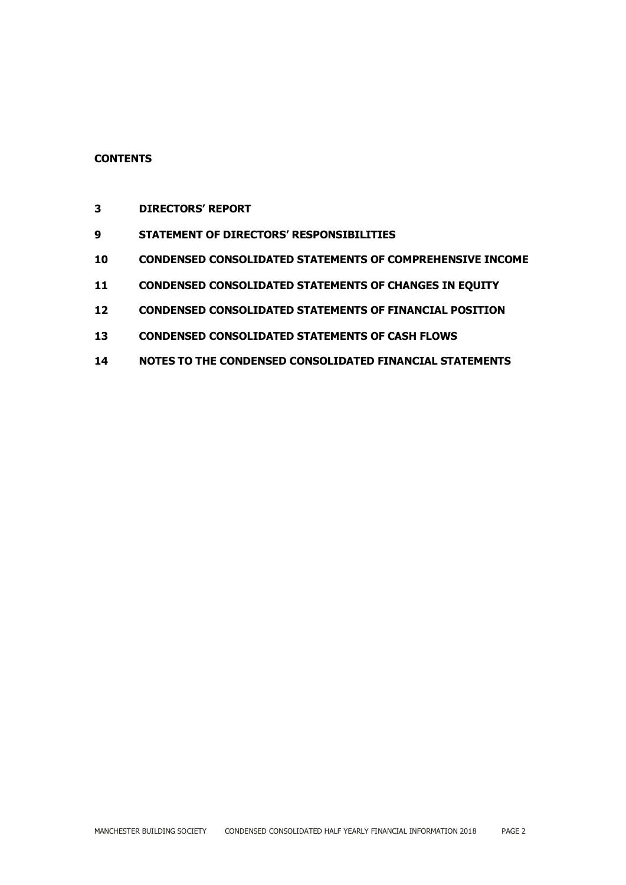# **CONTENTS**

- **DIRECTORS' REPORT**
- **STATEMENT OF DIRECTORS' RESPONSIBILITIES**
- **CONDENSED CONSOLIDATED STATEMENTS OF COMPREHENSIVE INCOME**
- **CONDENSED CONSOLIDATED STATEMENTS OF CHANGES IN EQUITY**
- **CONDENSED CONSOLIDATED STATEMENTS OF FINANCIAL POSITION**
- **CONDENSED CONSOLIDATED STATEMENTS OF CASH FLOWS**
- **NOTES TO THE CONDENSED CONSOLIDATED FINANCIAL STATEMENTS**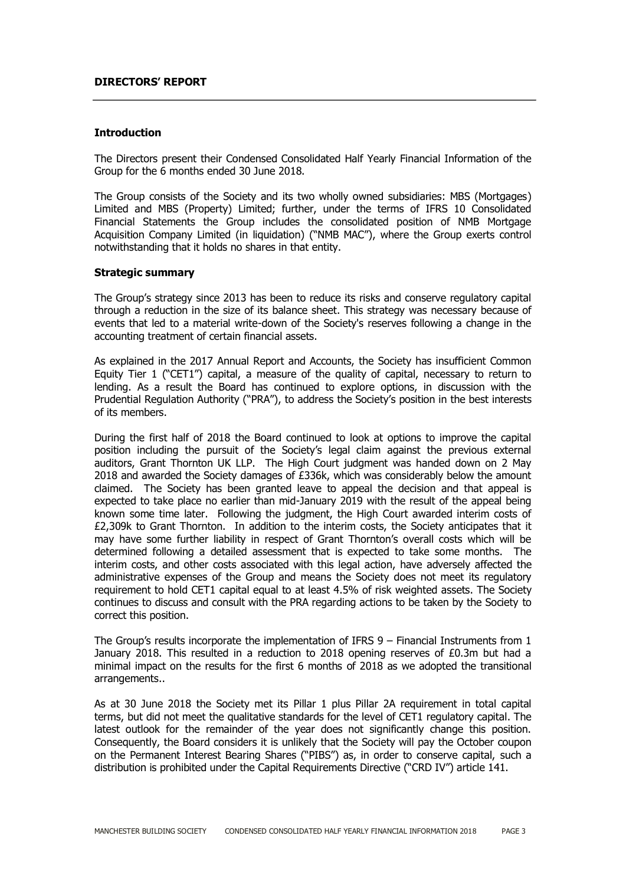#### **DIRECTORS' REPORT**

#### **Introduction**

The Directors present their Condensed Consolidated Half Yearly Financial Information of the Group for the 6 months ended 30 June 2018.

The Group consists of the Society and its two wholly owned subsidiaries: MBS (Mortgages) Limited and MBS (Property) Limited; further, under the terms of IFRS 10 Consolidated Financial Statements the Group includes the consolidated position of NMB Mortgage Acquisition Company Limited (in liquidation) ("NMB MAC"), where the Group exerts control notwithstanding that it holds no shares in that entity.

#### **Strategic summary**

The Group's strategy since 2013 has been to reduce its risks and conserve regulatory capital through a reduction in the size of its balance sheet. This strategy was necessary because of events that led to a material write-down of the Society's reserves following a change in the accounting treatment of certain financial assets.

As explained in the 2017 Annual Report and Accounts, the Society has insufficient Common Equity Tier 1 ("CET1") capital, a measure of the quality of capital, necessary to return to lending. As a result the Board has continued to explore options, in discussion with the Prudential Regulation Authority ("PRA"), to address the Society's position in the best interests of its members.

During the first half of 2018 the Board continued to look at options to improve the capital position including the pursuit of the Society's legal claim against the previous external auditors, Grant Thornton UK LLP. The High Court judgment was handed down on 2 May 2018 and awarded the Society damages of £336k, which was considerably below the amount claimed. The Society has been granted leave to appeal the decision and that appeal is expected to take place no earlier than mid-January 2019 with the result of the appeal being known some time later. Following the judgment, the High Court awarded interim costs of £2,309k to Grant Thornton. In addition to the interim costs, the Society anticipates that it may have some further liability in respect of Grant Thornton's overall costs which will be determined following a detailed assessment that is expected to take some months. The interim costs, and other costs associated with this legal action, have adversely affected the administrative expenses of the Group and means the Society does not meet its regulatory requirement to hold CET1 capital equal to at least 4.5% of risk weighted assets. The Society continues to discuss and consult with the PRA regarding actions to be taken by the Society to correct this position.

The Group's results incorporate the implementation of IFRS  $9$  – Financial Instruments from 1 January 2018. This resulted in a reduction to 2018 opening reserves of  $E0.3m$  but had a minimal impact on the results for the first 6 months of 2018 as we adopted the transitional arrangements..

As at 30 June 2018 the Society met its Pillar 1 plus Pillar 2A requirement in total capital terms, but did not meet the qualitative standards for the level of CET1 regulatory capital. The latest outlook for the remainder of the year does not significantly change this position. Consequently, the Board considers it is unlikely that the Society will pay the October coupon on the Permanent Interest Bearing Shares ("PIBS") as, in order to conserve capital, such a distribution is prohibited under the Capital Requirements Directive ("CRD IV") article 141.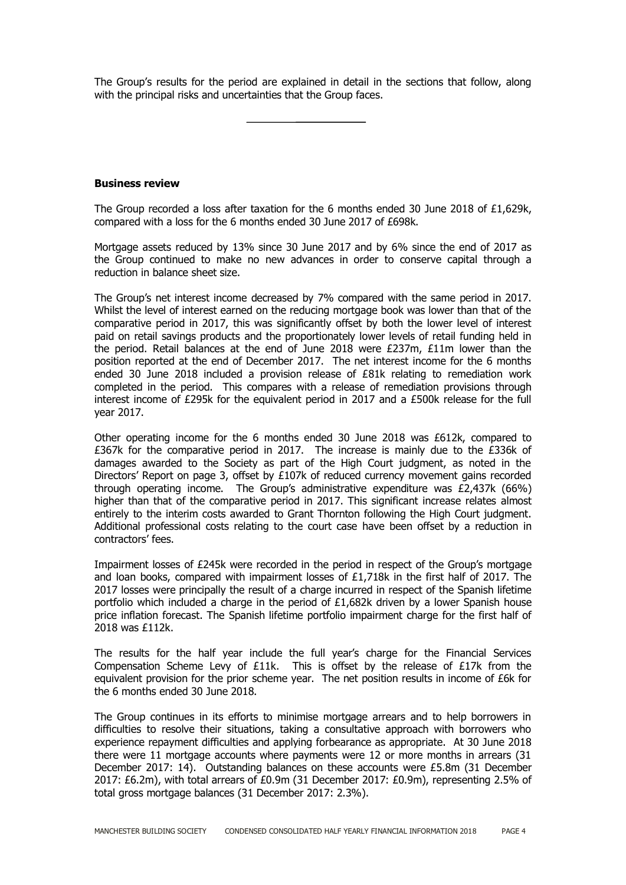The Group's results for the period are explained in detail in the sections that follow, along with the principal risks and uncertainties that the Group faces.

**Business review**

The Group recorded a loss after taxation for the 6 months ended 30 June 2018 of £1,629k, compared with a loss for the 6 months ended 30 June 2017 of £698k.

Mortgage assets reduced by 13% since 30 June 2017 and by 6% since the end of 2017 as the Group continued to make no new advances in order to conserve capital through a reduction in balance sheet size.

The Group's net interest income decreased by 7% compared with the same period in 2017. Whilst the level of interest earned on the reducing mortgage book was lower than that of the comparative period in 2017, this was significantly offset by both the lower level of interest paid on retail savings products and the proportionately lower levels of retail funding held in the period. Retail balances at the end of June 2018 were £237m, £11m lower than the position reported at the end of December 2017. The net interest income for the 6 months ended 30 June 2018 included a provision release of £81k relating to remediation work completed in the period. This compares with a release of remediation provisions through interest income of £295k for the equivalent period in 2017 and a £500k release for the full year 2017.

Other operating income for the 6 months ended 30 June 2018 was £612k, compared to £367k for the comparative period in 2017. The increase is mainly due to the £336k of damages awarded to the Society as part of the High Court judgment, as noted in the Directors' Report on page 3, offset by £107k of reduced currency movement gains recorded through operating income. The Group's administrative expenditure was £2,437k (66%) higher than that of the comparative period in 2017. This significant increase relates almost entirely to the interim costs awarded to Grant Thornton following the High Court judgment. Additional professional costs relating to the court case have been offset by a reduction in contractors' fees.

Impairment losses of £245k were recorded in the period in respect of the Group's mortgage and loan books, compared with impairment losses of £1,718k in the first half of 2017. The 2017 losses were principally the result of a charge incurred in respect of the Spanish lifetime portfolio which included a charge in the period of  $£1,682k$  driven by a lower Spanish house price inflation forecast. The Spanish lifetime portfolio impairment charge for the first half of 2018 was £112k.

The results for the half year include the full year's charge for the Financial Services Compensation Scheme Levy of £11k. This is offset by the release of £17k from the equivalent provision for the prior scheme year. The net position results in income of £6k for the 6 months ended 30 June 2018.

The Group continues in its efforts to minimise mortgage arrears and to help borrowers in difficulties to resolve their situations, taking a consultative approach with borrowers who experience repayment difficulties and applying forbearance as appropriate. At 30 June 2018 there were 11 mortgage accounts where payments were 12 or more months in arrears (31 December 2017: 14). Outstanding balances on these accounts were £5.8m (31 December 2017: £6.2m), with total arrears of £0.9m (31 December 2017: £0.9m), representing 2.5% of total gross mortgage balances (31 December 2017: 2.3%).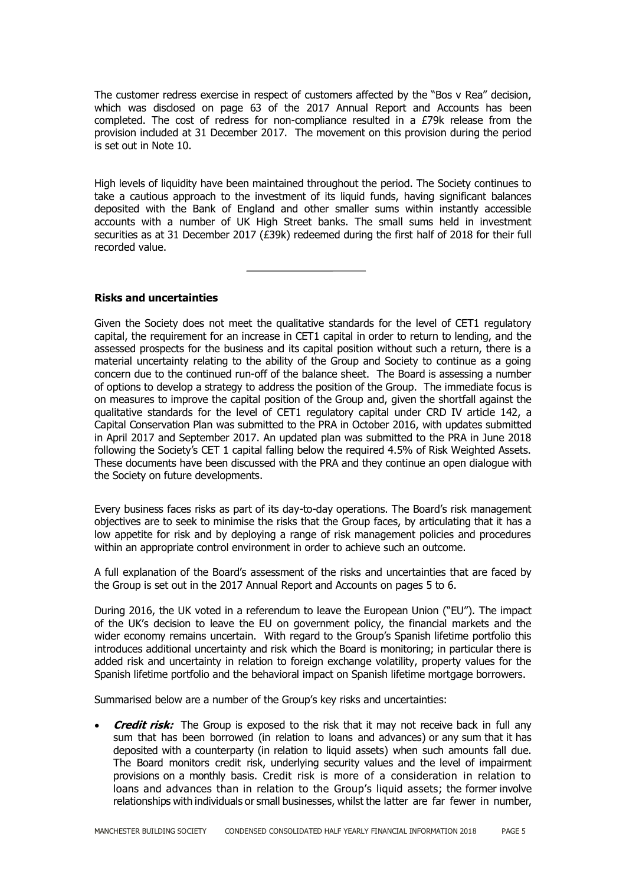The customer redress exercise in respect of customers affected by the "Bos v Rea" decision, which was disclosed on page 63 of the 2017 Annual Report and Accounts has been completed. The cost of redress for non-compliance resulted in a £79k release from the provision included at 31 December 2017. The movement on this provision during the period is set out in Note 10.

High levels of liquidity have been maintained throughout the period. The Society continues to take a cautious approach to the investment of its liquid funds, having significant balances deposited with the Bank of England and other smaller sums within instantly accessible accounts with a number of UK High Street banks. The small sums held in investment securities as at 31 December 2017 (£39k) redeemed during the first half of 2018 for their full recorded value.

**Risks and uncertainties**

Given the Society does not meet the qualitative standards for the level of CET1 regulatory capital, the requirement for an increase in CET1 capital in order to return to lending, and the assessed prospects for the business and its capital position without such a return, there is a material uncertainty relating to the ability of the Group and Society to continue as a going concern due to the continued run-off of the balance sheet. The Board is assessing a number of options to develop a strategy to address the position of the Group. The immediate focus is on measures to improve the capital position of the Group and, given the shortfall against the qualitative standards for the level of CET1 regulatory capital under CRD IV article 142, a Capital Conservation Plan was submitted to the PRA in October 2016, with updates submitted in April 2017 and September 2017. An updated plan was submitted to the PRA in June 2018 following the Society's CET 1 capital falling below the required 4.5% of Risk Weighted Assets. These documents have been discussed with the PRA and they continue an open dialogue with the Society on future developments.

Every business faces risks as part of its day-to-day operations. The Board's risk management objectives are to seek to minimise the risks that the Group faces, by articulating that it has a low appetite for risk and by deploying a range of risk management policies and procedures within an appropriate control environment in order to achieve such an outcome.

A full explanation of the Board's assessment of the risks and uncertainties that are faced by the Group is set out in the 2017 Annual Report and Accounts on pages 5 to 6.

During 2016, the UK voted in a referendum to leave the European Union ("EU"). The impact of the UK's decision to leave the EU on government policy, the financial markets and the wider economy remains uncertain. With regard to the Group's Spanish lifetime portfolio this introduces additional uncertainty and risk which the Board is monitoring; in particular there is added risk and uncertainty in relation to foreign exchange volatility, property values for the Spanish lifetime portfolio and the behavioral impact on Spanish lifetime mortgage borrowers.

Summarised below are a number of the Group's key risks and uncertainties:

 **Credit risk:** The Group is exposed to the risk that it may not receive back in full any sum that has been borrowed (in relation to loans and advances) or any sum that it has deposited with a counterparty (in relation to liquid assets) when such amounts fall due. The Board monitors credit risk, underlying security values and the level of impairment provisions on a monthly basis. Credit risk is more of a consideration in relation to loans and advances than in relation to the Group's liquid assets; the former involve relationships with individuals or small businesses, whilst the latter are far fewer in number,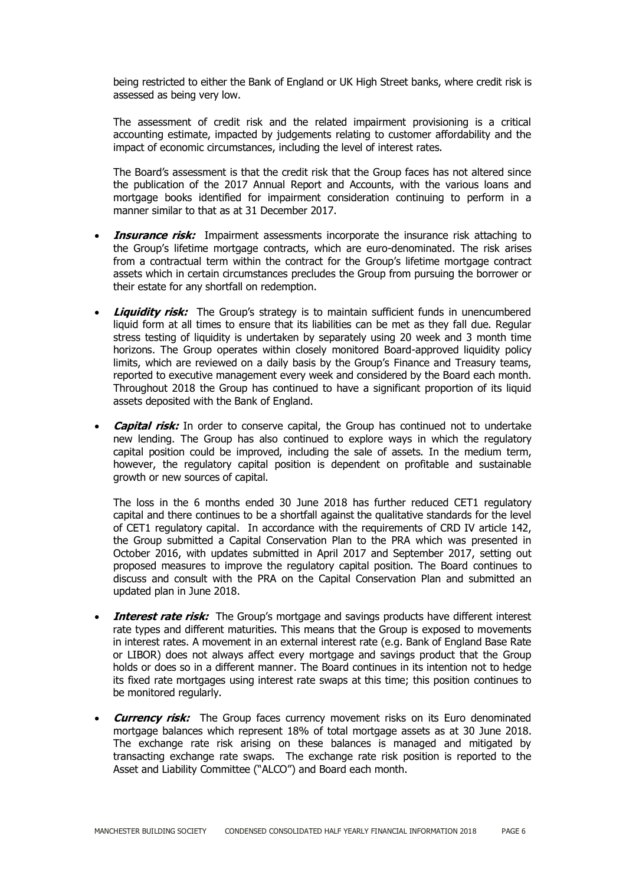being restricted to either the Bank of England or UK High Street banks, where credit risk is assessed as being very low.

The assessment of credit risk and the related impairment provisioning is a critical accounting estimate, impacted by judgements relating to customer affordability and the impact of economic circumstances, including the level of interest rates.

The Board's assessment is that the credit risk that the Group faces has not altered since the publication of the 2017 Annual Report and Accounts, with the various loans and mortgage books identified for impairment consideration continuing to perform in a manner similar to that as at 31 December 2017.

- **Insurance risk:** Impairment assessments incorporate the insurance risk attaching to the Group's lifetime mortgage contracts, which are euro-denominated. The risk arises from a contractual term within the contract for the Group's lifetime mortgage contract assets which in certain circumstances precludes the Group from pursuing the borrower or their estate for any shortfall on redemption.
- **Liquidity risk:** The Group's strategy is to maintain sufficient funds in unencumbered liquid form at all times to ensure that its liabilities can be met as they fall due. Regular stress testing of liquidity is undertaken by separately using 20 week and 3 month time horizons. The Group operates within closely monitored Board-approved liquidity policy limits, which are reviewed on a daily basis by the Group's Finance and Treasury teams, reported to executive management every week and considered by the Board each month. Throughout 2018 the Group has continued to have a significant proportion of its liquid assets deposited with the Bank of England.
- **Capital risk:** In order to conserve capital, the Group has continued not to undertake new lending. The Group has also continued to explore ways in which the regulatory capital position could be improved, including the sale of assets. In the medium term, however, the regulatory capital position is dependent on profitable and sustainable growth or new sources of capital.

The loss in the 6 months ended 30 June 2018 has further reduced CET1 regulatory capital and there continues to be a shortfall against the qualitative standards for the level of CET1 regulatory capital. In accordance with the requirements of CRD IV article 142, the Group submitted a Capital Conservation Plan to the PRA which was presented in October 2016, with updates submitted in April 2017 and September 2017, setting out proposed measures to improve the regulatory capital position. The Board continues to discuss and consult with the PRA on the Capital Conservation Plan and submitted an updated plan in June 2018.

- **Interest rate risk:** The Group's mortgage and savings products have different interest rate types and different maturities. This means that the Group is exposed to movements in interest rates. A movement in an external interest rate (e.g. Bank of England Base Rate or LIBOR) does not always affect every mortgage and savings product that the Group holds or does so in a different manner. The Board continues in its intention not to hedge its fixed rate mortgages using interest rate swaps at this time; this position continues to be monitored regularly.
- **Currency risk:** The Group faces currency movement risks on its Euro denominated mortgage balances which represent 18% of total mortgage assets as at 30 June 2018. The exchange rate risk arising on these balances is managed and mitigated by transacting exchange rate swaps. The exchange rate risk position is reported to the Asset and Liability Committee ("ALCO") and Board each month.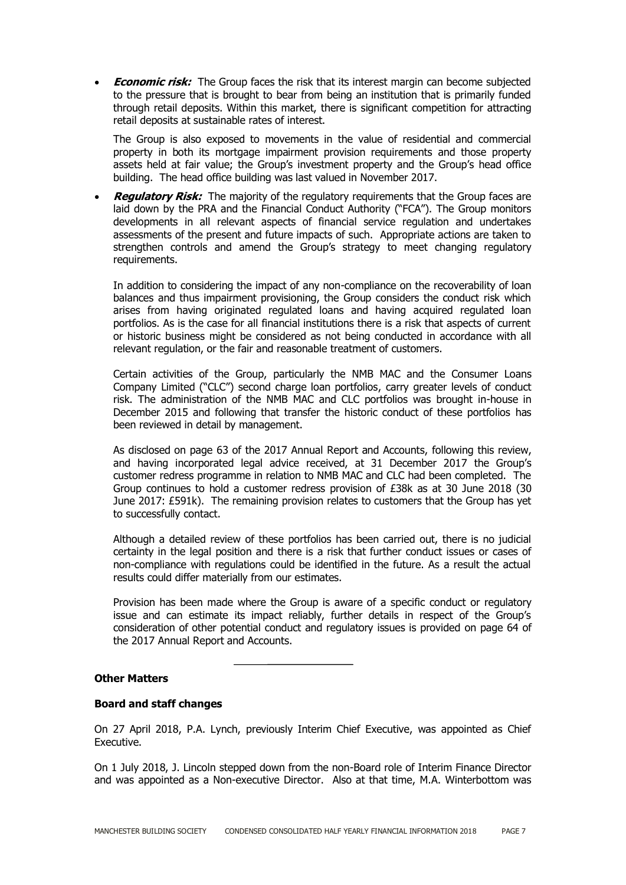**Economic risk:** The Group faces the risk that its interest margin can become subjected to the pressure that is brought to bear from being an institution that is primarily funded through retail deposits. Within this market, there is significant competition for attracting retail deposits at sustainable rates of interest.

The Group is also exposed to movements in the value of residential and commercial property in both its mortgage impairment provision requirements and those property assets held at fair value; the Group's investment property and the Group's head office building. The head office building was last valued in November 2017.

**Requiatory Risk:** The majority of the regulatory requirements that the Group faces are laid down by the PRA and the Financial Conduct Authority ("FCA"). The Group monitors developments in all relevant aspects of financial service regulation and undertakes assessments of the present and future impacts of such. Appropriate actions are taken to strengthen controls and amend the Group's strategy to meet changing regulatory requirements.

In addition to considering the impact of any non-compliance on the recoverability of loan balances and thus impairment provisioning, the Group considers the conduct risk which arises from having originated regulated loans and having acquired regulated loan portfolios. As is the case for all financial institutions there is a risk that aspects of current or historic business might be considered as not being conducted in accordance with all relevant regulation, or the fair and reasonable treatment of customers.

Certain activities of the Group, particularly the NMB MAC and the Consumer Loans Company Limited ("CLC") second charge loan portfolios, carry greater levels of conduct risk. The administration of the NMB MAC and CLC portfolios was brought in-house in December 2015 and following that transfer the historic conduct of these portfolios has been reviewed in detail by management.

As disclosed on page 63 of the 2017 Annual Report and Accounts, following this review, and having incorporated legal advice received, at 31 December 2017 the Group's customer redress programme in relation to NMB MAC and CLC had been completed. The Group continues to hold a customer redress provision of £38k as at 30 June 2018 (30 June 2017: £591k). The remaining provision relates to customers that the Group has yet to successfully contact.

Although a detailed review of these portfolios has been carried out, there is no judicial certainty in the legal position and there is a risk that further conduct issues or cases of non-compliance with regulations could be identified in the future. As a result the actual results could differ materially from our estimates.

Provision has been made where the Group is aware of a specific conduct or regulatory issue and can estimate its impact reliably, further details in respect of the Group's consideration of other potential conduct and regulatory issues is provided on page 64 of the 2017 Annual Report and Accounts.

#### **Other Matters**

# **Board and staff changes**

On 27 April 2018, P.A. Lynch, previously Interim Chief Executive, was appointed as Chief Executive.

On 1 July 2018, J. Lincoln stepped down from the non-Board role of Interim Finance Director and was appointed as a Non-executive Director. Also at that time, M.A. Winterbottom was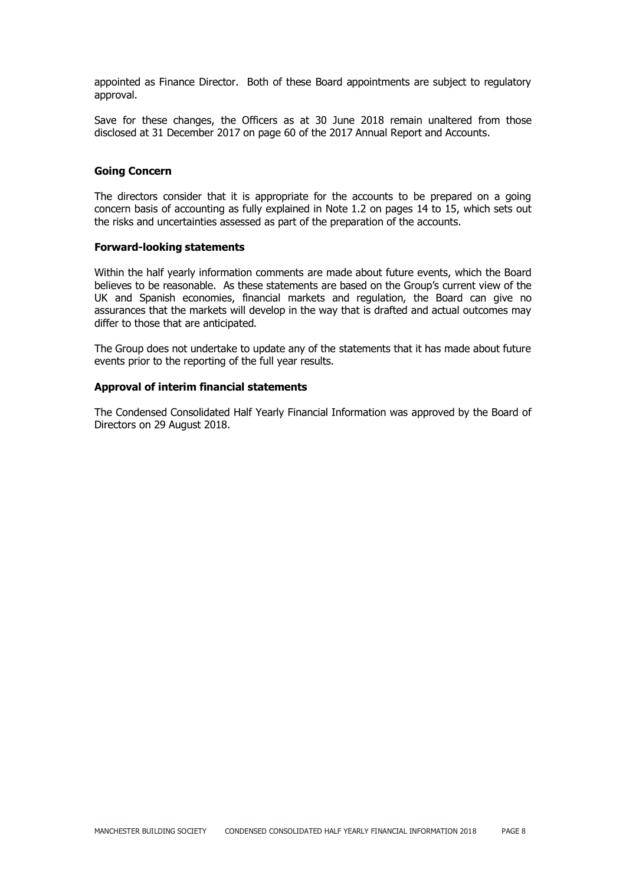appointed as Finance Director. Both of these Board appointments are subject to regulatory approval.

Save for these changes, the Officers as at 30 June 2018 remain unaltered from those disclosed at 31 December 2017 on page 60 of the 2017 Annual Report and Accounts.

#### **Going Concern**

The directors consider that it is appropriate for the accounts to be prepared on a going concern basis of accounting as fully explained in Note 1.2 on pages 14 to 15, which sets out the risks and uncertainties assessed as part of the preparation of the accounts.

#### **Forward-looking statements**

Within the half yearly information comments are made about future events, which the Board believes to be reasonable. As these statements are based on the Group's current view of the UK and Spanish economies, financial markets and regulation, the Board can give no assurances that the markets will develop in the way that is drafted and actual outcomes may differ to those that are anticipated.

The Group does not undertake to update any of the statements that it has made about future events prior to the reporting of the full year results.

#### **Approval of interim financial statements**

The Condensed Consolidated Half Yearly Financial Information was approved by the Board of Directors on 29 August 2018.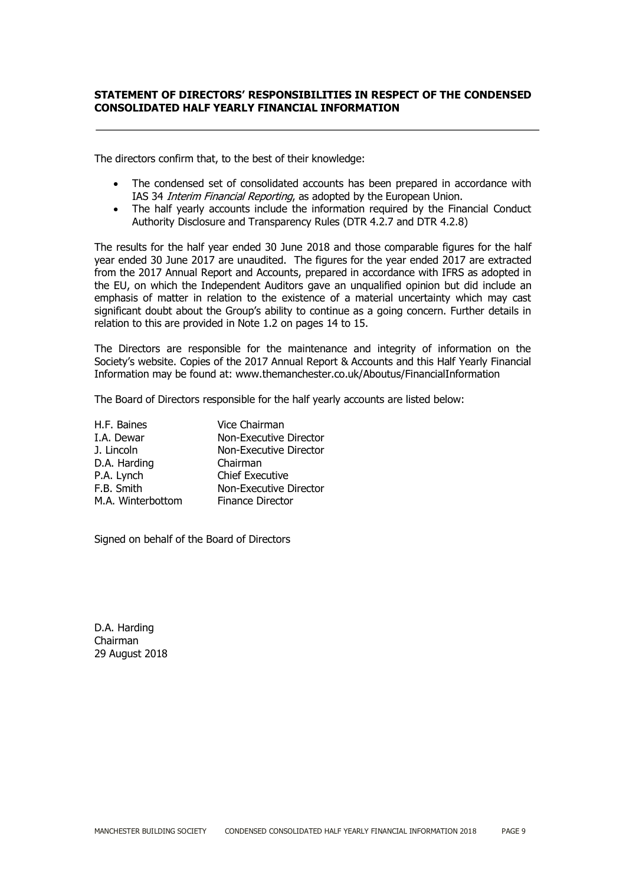# **STATEMENT OF DIRECTORS' RESPONSIBILITIES IN RESPECT OF THE CONDENSED CONSOLIDATED HALF YEARLY FINANCIAL INFORMATION**

The directors confirm that, to the best of their knowledge:

- The condensed set of consolidated accounts has been prepared in accordance with IAS 34 Interim Financial Reporting, as adopted by the European Union.
- The half yearly accounts include the information required by the Financial Conduct Authority Disclosure and Transparency Rules (DTR 4.2.7 and DTR 4.2.8)

The results for the half year ended 30 June 2018 and those comparable figures for the half year ended 30 June 2017 are unaudited. The figures for the year ended 2017 are extracted from the 2017 Annual Report and Accounts, prepared in accordance with IFRS as adopted in the EU, on which the Independent Auditors gave an unqualified opinion but did include an emphasis of matter in relation to the existence of a material uncertainty which may cast significant doubt about the Group's ability to continue as a going concern. Further details in relation to this are provided in Note 1.2 on pages 14 to 15.

The Directors are responsible for the maintenance and integrity of information on the Society's website. Copies of the 2017 Annual Report & Accounts and this Half Yearly Financial Information may be found at: www.themanchester.co.uk/Aboutus/FinancialInformation

The Board of Directors responsible for the half yearly accounts are listed below:

| H.F. Baines       | Vice Chairman           |
|-------------------|-------------------------|
| I.A. Dewar        | Non-Executive Director  |
| J. Lincoln        | Non-Executive Director  |
| D.A. Harding      | Chairman                |
| P.A. Lynch        | <b>Chief Executive</b>  |
| F.B. Smith        | Non-Executive Director  |
| M.A. Winterbottom | <b>Finance Director</b> |

Signed on behalf of the Board of Directors

D.A. Harding Chairman 29 August 2018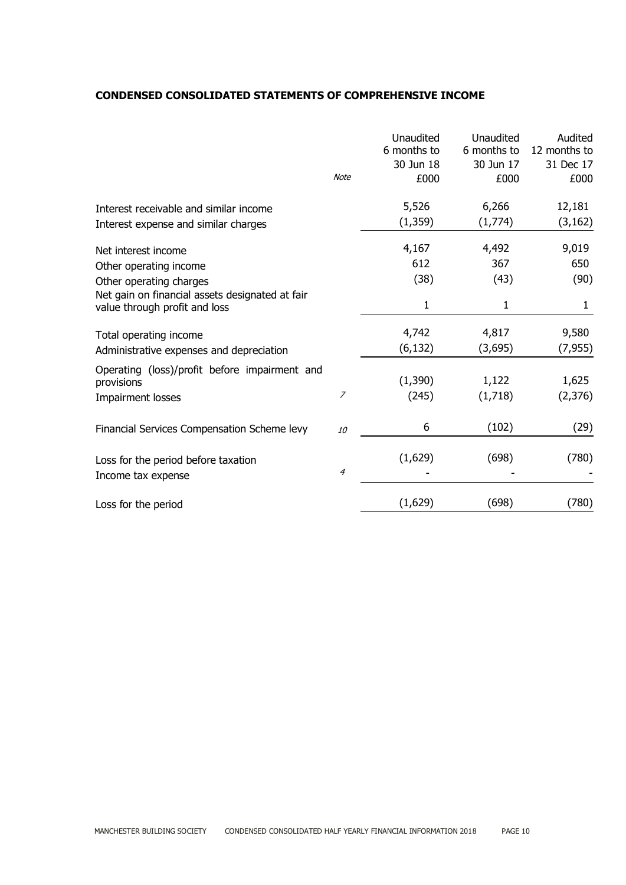# **CONDENSED CONSOLIDATED STATEMENTS OF COMPREHENSIVE INCOME**

|                                                                                                                  | <b>Note</b>      | Unaudited<br>6 months to<br>30 Jun 18<br>£000 | Unaudited<br>6 months to<br>30 Jun 17<br>£000 | Audited<br>12 months to<br>31 Dec 17<br>£000 |
|------------------------------------------------------------------------------------------------------------------|------------------|-----------------------------------------------|-----------------------------------------------|----------------------------------------------|
| Interest receivable and similar income                                                                           |                  | 5,526<br>(1, 359)                             | 6,266<br>(1,774)                              | 12,181<br>(3, 162)                           |
| Interest expense and similar charges<br>Net interest income<br>Other operating income<br>Other operating charges |                  | 4,167<br>612<br>(38)                          | 4,492<br>367<br>(43)                          | 9,019<br>650<br>(90)                         |
| Net gain on financial assets designated at fair<br>value through profit and loss                                 |                  | 1                                             | 1                                             | $\mathbf{1}$                                 |
| Total operating income<br>Administrative expenses and depreciation                                               |                  | 4,742<br>(6, 132)                             | 4,817<br>(3,695)                              | 9,580<br>(7, 955)                            |
| Operating (loss)/profit before impairment and<br>provisions<br>Impairment losses                                 | $\overline{z}$   | (1, 390)<br>(245)                             | 1,122<br>(1,718)                              | 1,625<br>(2, 376)                            |
| Financial Services Compensation Scheme levy                                                                      | 10               | 6                                             | (102)                                         | (29)                                         |
| Loss for the period before taxation<br>Income tax expense                                                        | $\boldsymbol{4}$ | (1,629)                                       | (698)                                         | (780)                                        |
| Loss for the period                                                                                              |                  | (1,629)                                       | (698)                                         | (780)                                        |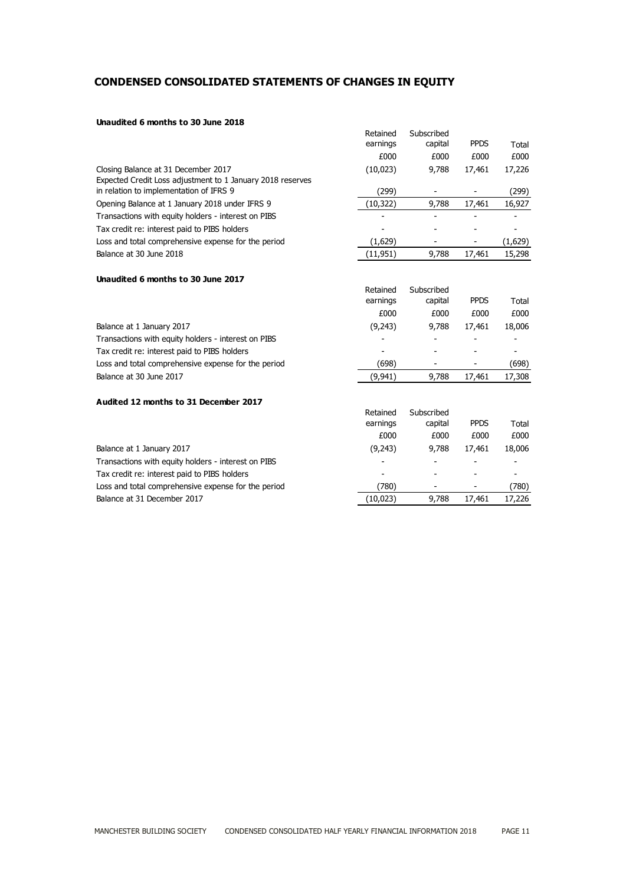# **CONDENSED CONSOLIDATED STATEMENTS OF CHANGES IN EQUITY**

#### **Unaudited 6 months to 30 June 2018**

|                                                            | Retained | Subscribed |             |         |
|------------------------------------------------------------|----------|------------|-------------|---------|
|                                                            | earnings | capital    | <b>PPDS</b> | Total   |
|                                                            | £000     | £000       | £000        | £000    |
| Closing Balance at 31 December 2017                        | (10,023) | 9.788      | 17,461      | 17,226  |
| Expected Credit Loss adjustment to 1 January 2018 reserves |          |            |             |         |
| in relation to implementation of IFRS 9                    | (299)    |            |             | (299)   |
| Opening Balance at 1 January 2018 under IFRS 9             | (10,322) | 9,788      | 17,461      | 16,927  |
| Transactions with equity holders - interest on PIBS        |          |            |             |         |
| Tax credit re: interest paid to PIBS holders               |          |            |             |         |
| Loss and total comprehensive expense for the period        | (1,629)  |            |             | (1,629) |
| Balance at 30 June 2018                                    | (11,951) | 9.788      | 17,461      | 15,298  |

#### **Unaudited 6 months to 30 June 2017**

| earnings | capital  | <b>PPDS</b> | Total  |
|----------|----------|-------------|--------|
| £000     | £000     | £000        | £000   |
| (9,243)  | 9.788    | 17,461      | 18,006 |
|          |          |             |        |
|          |          |             |        |
| (698)    |          |             | (698)  |
| (9,941)  | 9,788    | 17,461      | 17,308 |
|          |          |             |        |
|          |          |             |        |
|          | Retained | Subscribed  |        |

|                                                     | earnings | capital | <b>PPDS</b> | Total  |
|-----------------------------------------------------|----------|---------|-------------|--------|
|                                                     | £000     | £000    | £000        | £000   |
| Balance at 1 January 2017                           | (9,243)  | 9,788   | 17,461      | 18,006 |
| Transactions with equity holders - interest on PIBS |          |         |             |        |
| Tax credit re: interest paid to PIBS holders        | -        |         |             |        |
| Loss and total comprehensive expense for the period | (780)    | -       | ۰           | (780)  |
| Balance at 31 December 2017                         | (10,023) | 9,788   | 17.461      | 17,226 |
|                                                     |          |         |             |        |

Retained

Subscribed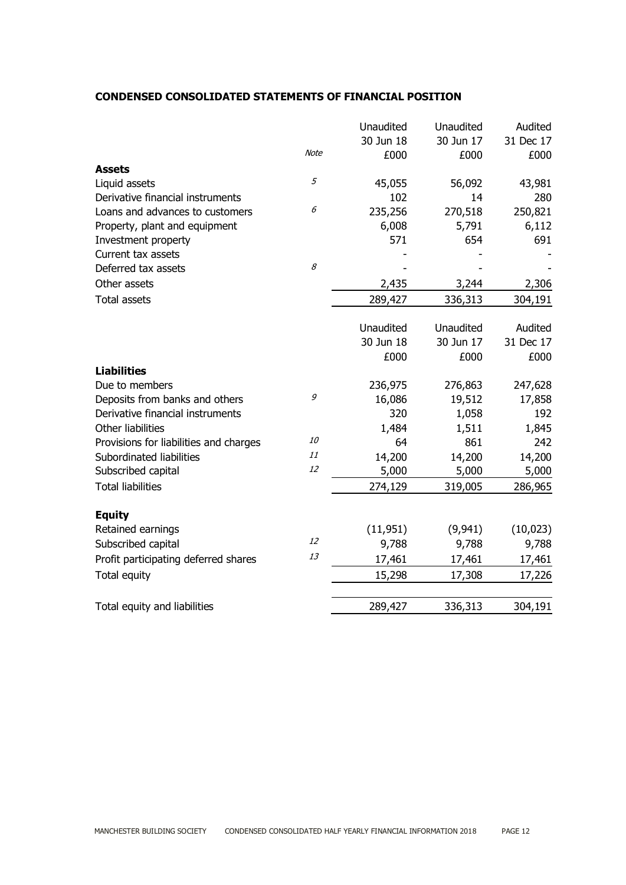# **CONDENSED CONSOLIDATED STATEMENTS OF FINANCIAL POSITION**

|                                        |             | Unaudited | Unaudited | Audited   |
|----------------------------------------|-------------|-----------|-----------|-----------|
|                                        |             | 30 Jun 18 | 30 Jun 17 | 31 Dec 17 |
|                                        | <b>Note</b> | £000      | £000      | £000      |
| <b>Assets</b>                          |             |           |           |           |
| Liquid assets                          | 5           | 45,055    | 56,092    | 43,981    |
| Derivative financial instruments       |             | 102       | 14        | 280       |
| Loans and advances to customers        | 6           | 235,256   | 270,518   | 250,821   |
| Property, plant and equipment          |             | 6,008     | 5,791     | 6,112     |
| Investment property                    |             | 571       | 654       | 691       |
| Current tax assets                     |             |           |           |           |
| Deferred tax assets                    | 8           |           |           |           |
| Other assets                           |             | 2,435     | 3,244     | 2,306     |
| <b>Total assets</b>                    |             | 289,427   | 336,313   | 304,191   |
|                                        |             |           |           |           |
|                                        |             | Unaudited | Unaudited | Audited   |
|                                        |             | 30 Jun 18 | 30 Jun 17 | 31 Dec 17 |
|                                        |             | £000      | £000      | £000      |
| <b>Liabilities</b>                     |             |           |           |           |
| Due to members                         |             | 236,975   | 276,863   | 247,628   |
| Deposits from banks and others         | 9           | 16,086    | 19,512    | 17,858    |
| Derivative financial instruments       |             | 320       | 1,058     | 192       |
| Other liabilities                      |             | 1,484     | 1,511     | 1,845     |
| Provisions for liabilities and charges | 10          | 64        | 861       | 242       |
| Subordinated liabilities               | 11          | 14,200    | 14,200    | 14,200    |
| Subscribed capital                     | 12          | 5,000     | 5,000     | 5,000     |
| <b>Total liabilities</b>               |             | 274,129   | 319,005   | 286,965   |
|                                        |             |           |           |           |
| <b>Equity</b>                          |             |           |           |           |
| Retained earnings                      |             | (11, 951) | (9, 941)  | (10, 023) |
| Subscribed capital                     | 12          | 9,788     | 9,788     | 9,788     |
| Profit participating deferred shares   | 13          | 17,461    | 17,461    | 17,461    |
| Total equity                           |             | 15,298    | 17,308    | 17,226    |
| Total equity and liabilities           |             | 289,427   | 336,313   | 304,191   |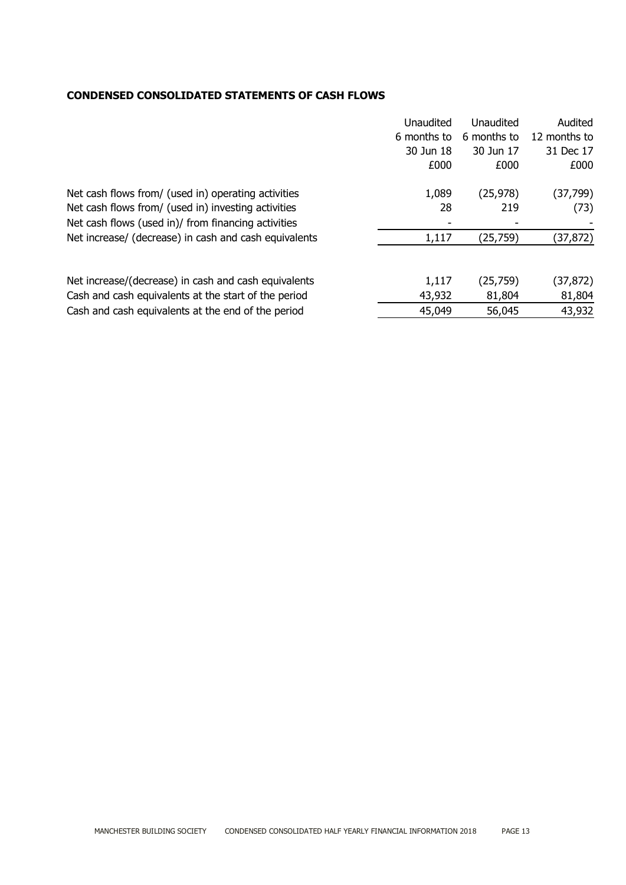# **CONDENSED CONSOLIDATED STATEMENTS OF CASH FLOWS**

|                                                       | Unaudited   | Unaudited   | Audited      |
|-------------------------------------------------------|-------------|-------------|--------------|
|                                                       | 6 months to | 6 months to | 12 months to |
|                                                       | 30 Jun 18   | 30 Jun 17   | 31 Dec 17    |
|                                                       | £000        | £000        | £000         |
| Net cash flows from/ (used in) operating activities   | 1,089       | (25, 978)   | (37,799)     |
| Net cash flows from/ (used in) investing activities   | 28          | 219         | (73)         |
| Net cash flows (used in)/ from financing activities   |             |             |              |
| Net increase/ (decrease) in cash and cash equivalents | 1,117       | (25,759)    | (37,872)     |
|                                                       |             |             |              |
| Net increase/(decrease) in cash and cash equivalents  | 1,117       | (25,759)    | (37, 872)    |
| Cash and cash equivalents at the start of the period  | 43,932      | 81,804      | 81,804       |
| Cash and cash equivalents at the end of the period    | 45,049      | 56,045      | 43,932       |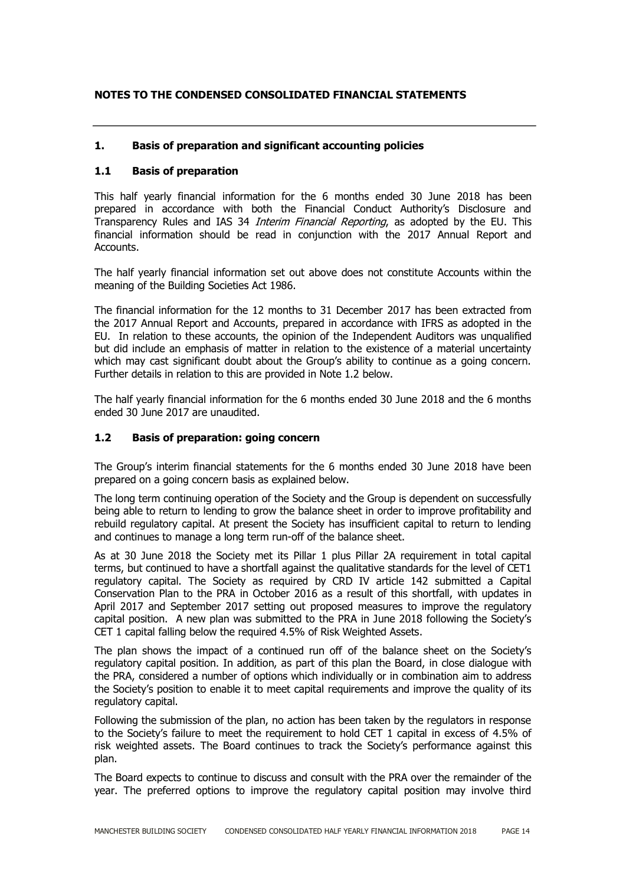# **NOTES TO THE CONDENSED CONSOLIDATED FINANCIAL STATEMENTS**

# **1. Basis of preparation and significant accounting policies**

# **1.1 Basis of preparation**

This half yearly financial information for the 6 months ended 30 June 2018 has been prepared in accordance with both the Financial Conduct Authority's Disclosure and Transparency Rules and IAS 34 *Interim Financial Reporting*, as adopted by the EU. This financial information should be read in conjunction with the 2017 Annual Report and Accounts.

The half yearly financial information set out above does not constitute Accounts within the meaning of the Building Societies Act 1986.

The financial information for the 12 months to 31 December 2017 has been extracted from the 2017 Annual Report and Accounts, prepared in accordance with IFRS as adopted in the EU. In relation to these accounts, the opinion of the Independent Auditors was unqualified but did include an emphasis of matter in relation to the existence of a material uncertainty which may cast significant doubt about the Group's ability to continue as a going concern. Further details in relation to this are provided in Note 1.2 below.

The half yearly financial information for the 6 months ended 30 June 2018 and the 6 months ended 30 June 2017 are unaudited.

#### **1.2 Basis of preparation: going concern**

The Group's interim financial statements for the 6 months ended 30 June 2018 have been prepared on a going concern basis as explained below.

The long term continuing operation of the Society and the Group is dependent on successfully being able to return to lending to grow the balance sheet in order to improve profitability and rebuild regulatory capital. At present the Society has insufficient capital to return to lending and continues to manage a long term run-off of the balance sheet.

As at 30 June 2018 the Society met its Pillar 1 plus Pillar 2A requirement in total capital terms, but continued to have a shortfall against the qualitative standards for the level of CET1 regulatory capital. The Society as required by CRD IV article 142 submitted a Capital Conservation Plan to the PRA in October 2016 as a result of this shortfall, with updates in April 2017 and September 2017 setting out proposed measures to improve the regulatory capital position. A new plan was submitted to the PRA in June 2018 following the Society's CET 1 capital falling below the required 4.5% of Risk Weighted Assets.

The plan shows the impact of a continued run off of the balance sheet on the Society's regulatory capital position. In addition, as part of this plan the Board, in close dialogue with the PRA, considered a number of options which individually or in combination aim to address the Society's position to enable it to meet capital requirements and improve the quality of its regulatory capital.

Following the submission of the plan, no action has been taken by the regulators in response to the Society's failure to meet the requirement to hold CET 1 capital in excess of 4.5% of risk weighted assets. The Board continues to track the Society's performance against this plan.

The Board expects to continue to discuss and consult with the PRA over the remainder of the year. The preferred options to improve the regulatory capital position may involve third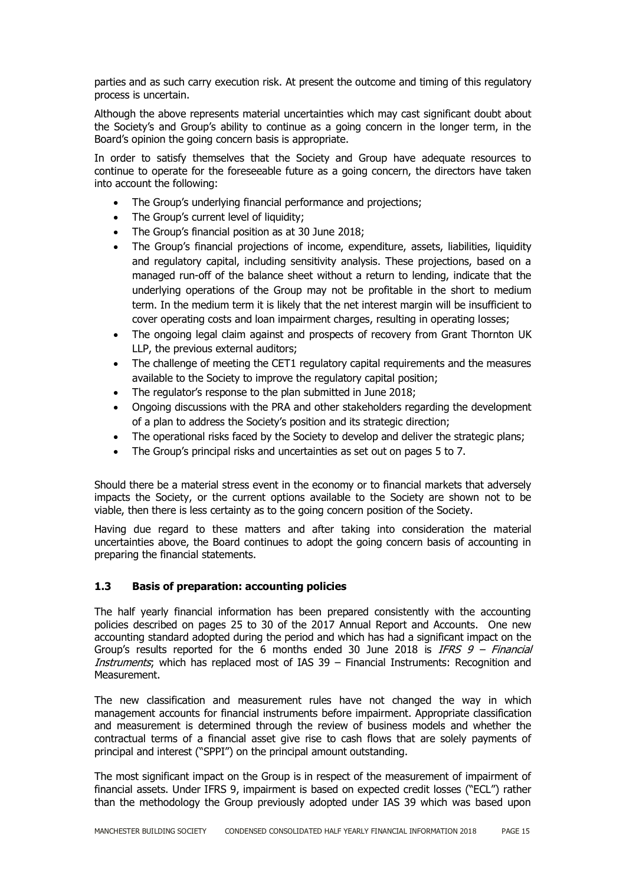parties and as such carry execution risk. At present the outcome and timing of this regulatory process is uncertain.

Although the above represents material uncertainties which may cast significant doubt about the Society's and Group's ability to continue as a going concern in the longer term, in the Board's opinion the going concern basis is appropriate.

In order to satisfy themselves that the Society and Group have adequate resources to continue to operate for the foreseeable future as a going concern, the directors have taken into account the following:

- The Group's underlying financial performance and projections;
- The Group's current level of liquidity;
- The Group's financial position as at 30 June 2018;
- The Group's financial projections of income, expenditure, assets, liabilities, liquidity and regulatory capital, including sensitivity analysis. These projections, based on a managed run-off of the balance sheet without a return to lending, indicate that the underlying operations of the Group may not be profitable in the short to medium term. In the medium term it is likely that the net interest margin will be insufficient to cover operating costs and loan impairment charges, resulting in operating losses;
- The ongoing legal claim against and prospects of recovery from Grant Thornton UK LLP, the previous external auditors;
- The challenge of meeting the CET1 regulatory capital requirements and the measures available to the Society to improve the regulatory capital position;
- The regulator's response to the plan submitted in June 2018;
- Ongoing discussions with the PRA and other stakeholders regarding the development of a plan to address the Society's position and its strategic direction;
- The operational risks faced by the Society to develop and deliver the strategic plans;
- The Group's principal risks and uncertainties as set out on pages 5 to 7.

Should there be a material stress event in the economy or to financial markets that adversely impacts the Society, or the current options available to the Society are shown not to be viable, then there is less certainty as to the going concern position of the Society.

Having due regard to these matters and after taking into consideration the material uncertainties above, the Board continues to adopt the going concern basis of accounting in preparing the financial statements.

# **1.3 Basis of preparation: accounting policies**

The half yearly financial information has been prepared consistently with the accounting policies described on pages 25 to 30 of the 2017 Annual Report and Accounts. One new accounting standard adopted during the period and which has had a significant impact on the Group's results reported for the 6 months ended 30 June 2018 is IFRS  $9 - F$ inancial Instruments; which has replaced most of IAS 39 - Financial Instruments: Recognition and Measurement.

The new classification and measurement rules have not changed the way in which management accounts for financial instruments before impairment. Appropriate classification and measurement is determined through the review of business models and whether the contractual terms of a financial asset give rise to cash flows that are solely payments of principal and interest ("SPPI") on the principal amount outstanding.

The most significant impact on the Group is in respect of the measurement of impairment of financial assets. Under IFRS 9, impairment is based on expected credit losses ("ECL") rather than the methodology the Group previously adopted under IAS 39 which was based upon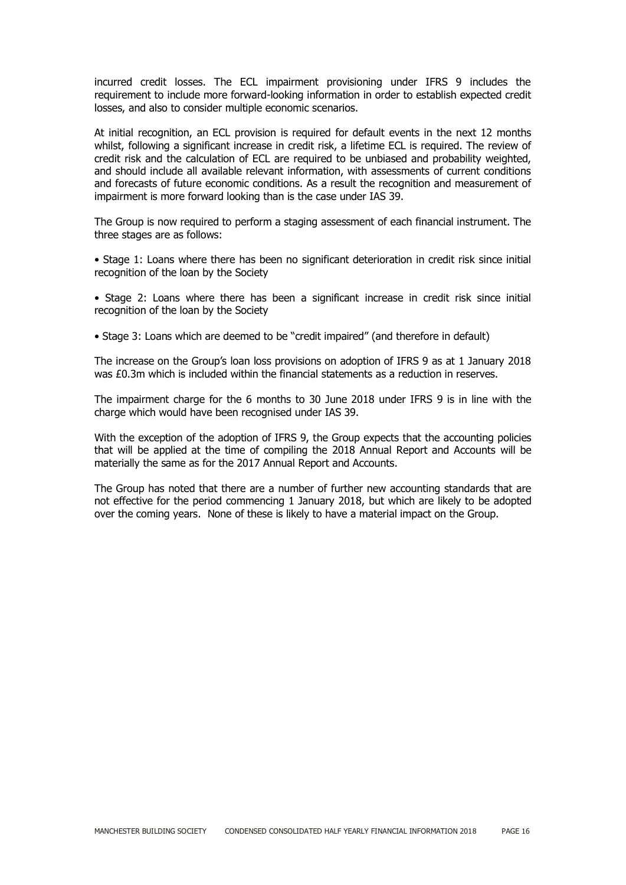incurred credit losses. The ECL impairment provisioning under IFRS 9 includes the requirement to include more forward-looking information in order to establish expected credit losses, and also to consider multiple economic scenarios.

At initial recognition, an ECL provision is required for default events in the next 12 months whilst, following a significant increase in credit risk, a lifetime ECL is required. The review of credit risk and the calculation of ECL are required to be unbiased and probability weighted, and should include all available relevant information, with assessments of current conditions and forecasts of future economic conditions. As a result the recognition and measurement of impairment is more forward looking than is the case under IAS 39.

The Group is now required to perform a staging assessment of each financial instrument. The three stages are as follows:

• Stage 1: Loans where there has been no significant deterioration in credit risk since initial recognition of the loan by the Society

• Stage 2: Loans where there has been a significant increase in credit risk since initial recognition of the loan by the Society

• Stage 3: Loans which are deemed to be "credit impaired" (and therefore in default)

The increase on the Group's loan loss provisions on adoption of IFRS 9 as at 1 January 2018 was £0.3m which is included within the financial statements as a reduction in reserves.

The impairment charge for the 6 months to 30 June 2018 under IFRS 9 is in line with the charge which would have been recognised under IAS 39.

With the exception of the adoption of IFRS 9, the Group expects that the accounting policies that will be applied at the time of compiling the 2018 Annual Report and Accounts will be materially the same as for the 2017 Annual Report and Accounts.

The Group has noted that there are a number of further new accounting standards that are not effective for the period commencing 1 January 2018, but which are likely to be adopted over the coming years. None of these is likely to have a material impact on the Group.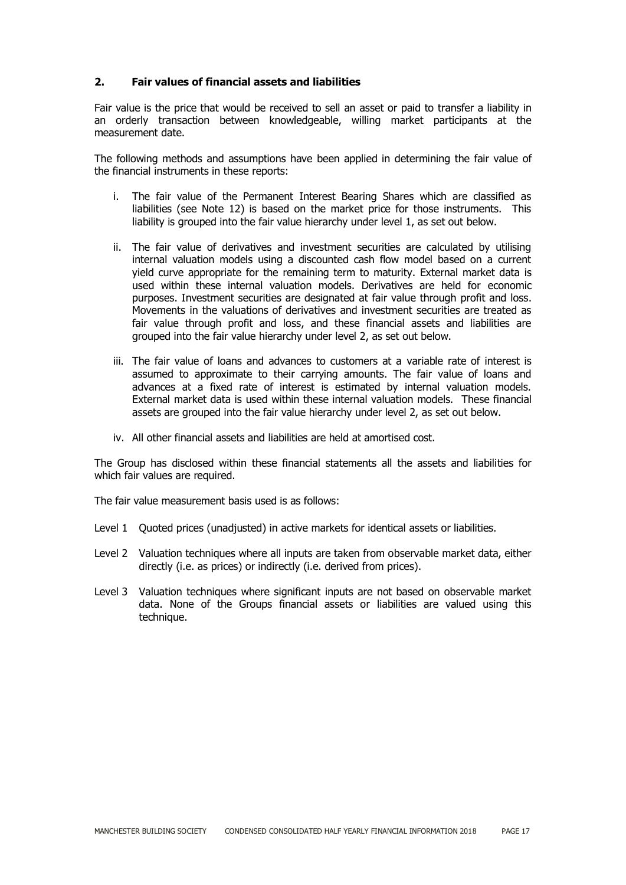# **2. Fair values of financial assets and liabilities**

Fair value is the price that would be received to sell an asset or paid to transfer a liability in an orderly transaction between knowledgeable, willing market participants at the measurement date.

The following methods and assumptions have been applied in determining the fair value of the financial instruments in these reports:

- i. The fair value of the Permanent Interest Bearing Shares which are classified as liabilities (see Note 12) is based on the market price for those instruments. This liability is grouped into the fair value hierarchy under level 1, as set out below.
- ii. The fair value of derivatives and investment securities are calculated by utilising internal valuation models using a discounted cash flow model based on a current yield curve appropriate for the remaining term to maturity. External market data is used within these internal valuation models. Derivatives are held for economic purposes. Investment securities are designated at fair value through profit and loss. Movements in the valuations of derivatives and investment securities are treated as fair value through profit and loss, and these financial assets and liabilities are grouped into the fair value hierarchy under level 2, as set out below.
- iii. The fair value of loans and advances to customers at a variable rate of interest is assumed to approximate to their carrying amounts. The fair value of loans and advances at a fixed rate of interest is estimated by internal valuation models. External market data is used within these internal valuation models. These financial assets are grouped into the fair value hierarchy under level 2, as set out below.
- iv. All other financial assets and liabilities are held at amortised cost.

The Group has disclosed within these financial statements all the assets and liabilities for which fair values are required.

The fair value measurement basis used is as follows:

- Level 1 Ouoted prices (unadjusted) in active markets for identical assets or liabilities.
- Level 2 Valuation techniques where all inputs are taken from observable market data, either directly (i.e. as prices) or indirectly (i.e. derived from prices).
- Level 3 Valuation techniques where significant inputs are not based on observable market data. None of the Groups financial assets or liabilities are valued using this technique.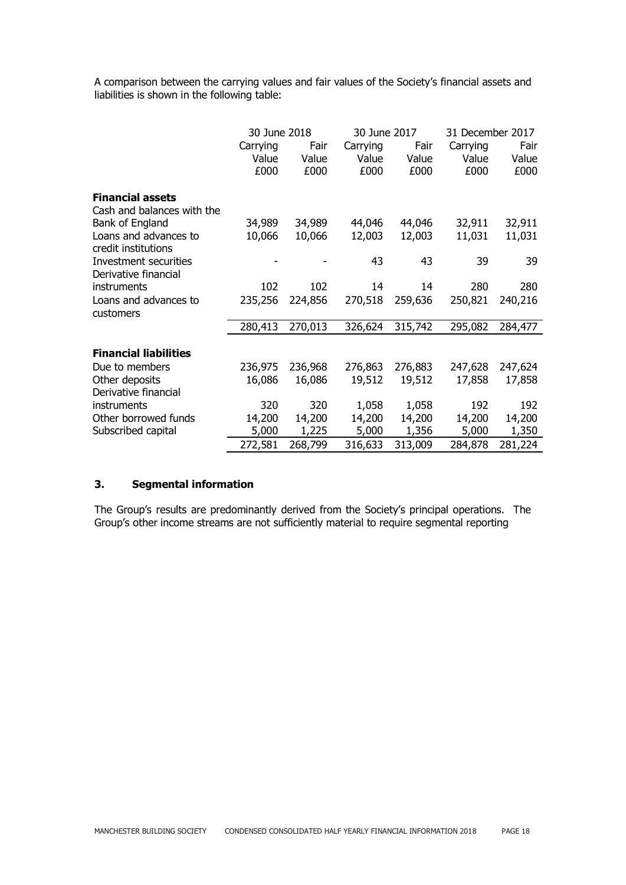A comparison between the carrying values and fair values of the Society's financial assets and liabilities is shown in the following table:

|                              | 30 June 2018 |         | 30 June 2017 |         | 31 December 2017 |         |
|------------------------------|--------------|---------|--------------|---------|------------------|---------|
|                              | Carrying     | Fair    | Carrying     | Fair    | Carrying         | Fair    |
|                              | Value        | Value   | Value        | Value   | Value            | Value   |
|                              | £000         | £000    | £000         | £000    | £000             | £000    |
|                              |              |         |              |         |                  |         |
| <b>Financial assets</b>      |              |         |              |         |                  |         |
| Cash and balances with the   |              |         |              |         |                  |         |
| Bank of England              | 34,989       | 34,989  | 44,046       | 44,046  | 32,911           | 32,911  |
| Loans and advances to        | 10,066       | 10,066  | 12,003       | 12,003  | 11,031           | 11,031  |
| credit institutions          |              |         |              |         |                  |         |
| Investment securities        |              |         | 43           | 43      | 39               | 39      |
| Derivative financial         |              |         |              |         |                  |         |
| instruments                  | 102          | 102     | 14           | 14      | 280              | 280     |
| Loans and advances to        | 235,256      | 224,856 | 270,518      | 259,636 | 250,821          | 240,216 |
| customers                    |              |         |              |         |                  |         |
|                              | 280,413      | 270,013 | 326,624      | 315,742 | 295,082          | 284,477 |
|                              |              |         |              |         |                  |         |
| <b>Financial liabilities</b> |              |         |              |         |                  |         |
| Due to members               | 236,975      | 236,968 | 276,863      | 276,883 | 247,628          | 247,624 |
| Other deposits               | 16,086       | 16,086  | 19,512       | 19,512  | 17,858           | 17,858  |
| Derivative financial         |              |         |              |         |                  |         |
| instruments                  | 320          | 320     | 1,058        | 1,058   | 192              | 192     |
| Other borrowed funds         | 14,200       | 14,200  | 14,200       | 14,200  | 14,200           | 14,200  |
| Subscribed capital           | 5,000        | 1,225   | 5,000        | 1,356   | 5,000            | 1,350   |
|                              | 272,581      | 268,799 | 316,633      | 313,009 | 284,878          | 281,224 |

# **3. Segmental information**

The Group's results are predominantly derived from the Society's principal operations. The Group's other income streams are not sufficiently material to require segmental reporting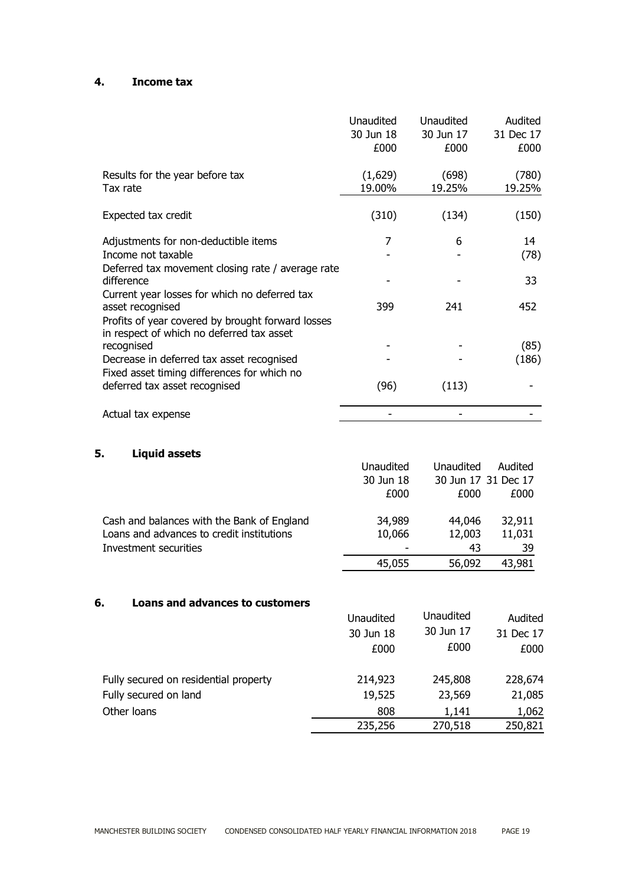# **4. Income tax**

|                                                                                                                    | <b>Unaudited</b><br>30 Jun 18<br>£000 | <b>Unaudited</b><br>30 Jun 17<br>£000 | Audited<br>31 Dec 17<br>£000 |
|--------------------------------------------------------------------------------------------------------------------|---------------------------------------|---------------------------------------|------------------------------|
| Results for the year before tax<br>Tax rate                                                                        | (1,629)<br>19.00%                     | (698)<br>19.25%                       | (780)<br>19.25%              |
| Expected tax credit                                                                                                | (310)                                 | (134)                                 | (150)                        |
| Adjustments for non-deductible items<br>Income not taxable<br>Deferred tax movement closing rate / average rate    | 7                                     | 6                                     | 14<br>(78)                   |
| difference<br>Current year losses for which no deferred tax                                                        |                                       |                                       | 33                           |
| asset recognised<br>Profits of year covered by brought forward losses<br>in respect of which no deferred tax asset | 399                                   | 241                                   | 452                          |
| recognised                                                                                                         |                                       |                                       | (85)                         |
| Decrease in deferred tax asset recognised<br>Fixed asset timing differences for which no                           |                                       |                                       | (186)                        |
| deferred tax asset recognised                                                                                      | (96)                                  | (113)                                 |                              |
| Actual tax expense                                                                                                 |                                       |                                       |                              |

# **5. Liquid assets**

| . .<br>ычини аээсь                         |           |                     |         |
|--------------------------------------------|-----------|---------------------|---------|
|                                            | Unaudited | Unaudited           | Audited |
|                                            | 30 Jun 18 | 30 Jun 17 31 Dec 17 |         |
|                                            | £000      | £000                | £000    |
| Cash and balances with the Bank of England | 34,989    | 44,046              | 32,911  |
| Loans and advances to credit institutions  | 10,066    | 12,003              | 11,031  |
| Investment securities                      |           | 43                  | 39      |
|                                            | 45,055    | 56,092              | 43,981  |

#### **6. Loans and advances to customers**

|                                       | Unaudited | Unaudited | Audited   |
|---------------------------------------|-----------|-----------|-----------|
|                                       | 30 Jun 18 | 30 Jun 17 | 31 Dec 17 |
|                                       | £000      | £000      | £000      |
| Fully secured on residential property | 214,923   | 245,808   | 228,674   |
| Fully secured on land                 | 19,525    | 23,569    | 21,085    |
| Other loans                           | 808       | 1,141     | 1,062     |
|                                       | 235,256   | 270,518   | 250,821   |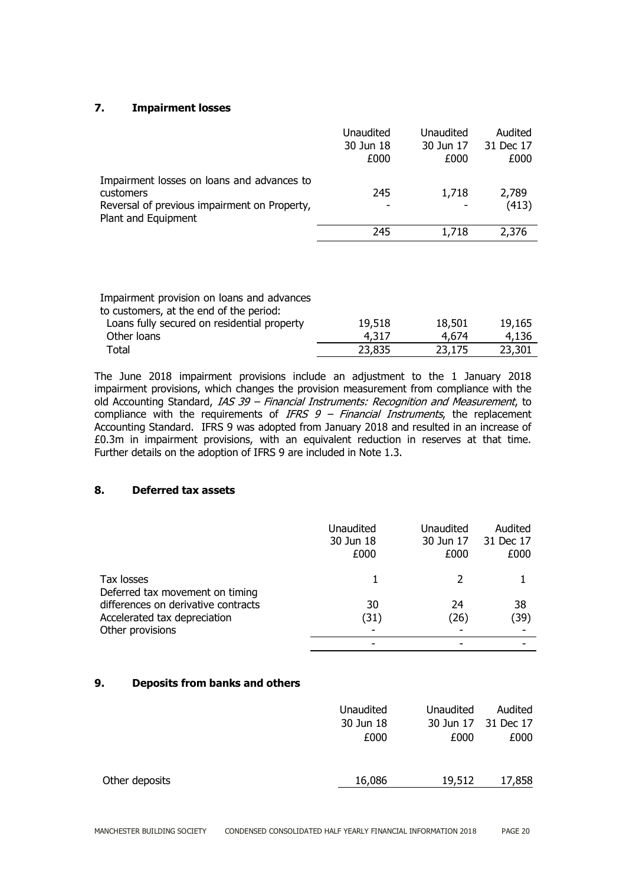# **7. Impairment losses**

|                                                                                                                                | Unaudited<br>30 Jun 18<br>£000 | Unaudited<br>30 Jun 17<br>£000 | Audited<br>31 Dec 17<br>£000 |
|--------------------------------------------------------------------------------------------------------------------------------|--------------------------------|--------------------------------|------------------------------|
| Impairment losses on loans and advances to<br>customers<br>Reversal of previous impairment on Property,<br>Plant and Equipment | 245<br>-                       | 1,718                          | 2,789<br>(413)               |
|                                                                                                                                | 245                            | 1,718                          | 2,376                        |

| Impairment provision on loans and advances<br>to customers, at the end of the period: |        |        |        |
|---------------------------------------------------------------------------------------|--------|--------|--------|
| Loans fully secured on residential property                                           | 19,518 | 18,501 | 19,165 |
| Other loans                                                                           | 4.317  | 4.674  | 4.136  |
| Total                                                                                 | 23,835 | 23,175 | 23,301 |

The June 2018 impairment provisions include an adjustment to the 1 January 2018 impairment provisions, which changes the provision measurement from compliance with the old Accounting Standard, *IAS 39 – Financial Instruments: Recognition and Measurement*, to compliance with the requirements of IFRS  $9$  – Financial Instruments, the replacement Accounting Standard. IFRS 9 was adopted from January 2018 and resulted in an increase of £0.3m in impairment provisions, with an equivalent reduction in reserves at that time. Further details on the adoption of IFRS 9 are included in Note 1.3.

# **8. Deferred tax assets**

|                                               | Unaudited<br>30 Jun 18<br>£000 | Unaudited<br>30 Jun 17<br>£000 | Audited<br>31 Dec 17<br>£000 |
|-----------------------------------------------|--------------------------------|--------------------------------|------------------------------|
| Tax losses<br>Deferred tax movement on timing |                                |                                |                              |
| differences on derivative contracts           | 30                             | 24                             | 38                           |
| Accelerated tax depreciation                  | (31)                           | (26)                           | (39)                         |
| Other provisions                              |                                |                                |                              |
|                                               |                                |                                |                              |

# **9. Deposits from banks and others**

|                | Unaudited<br>30 Jun 18<br>£000 | Unaudited<br>£000 | Audited<br>30 Jun 17 31 Dec 17<br>£000 |
|----------------|--------------------------------|-------------------|----------------------------------------|
| Other deposits | 16,086                         | 19,512            | 17,858                                 |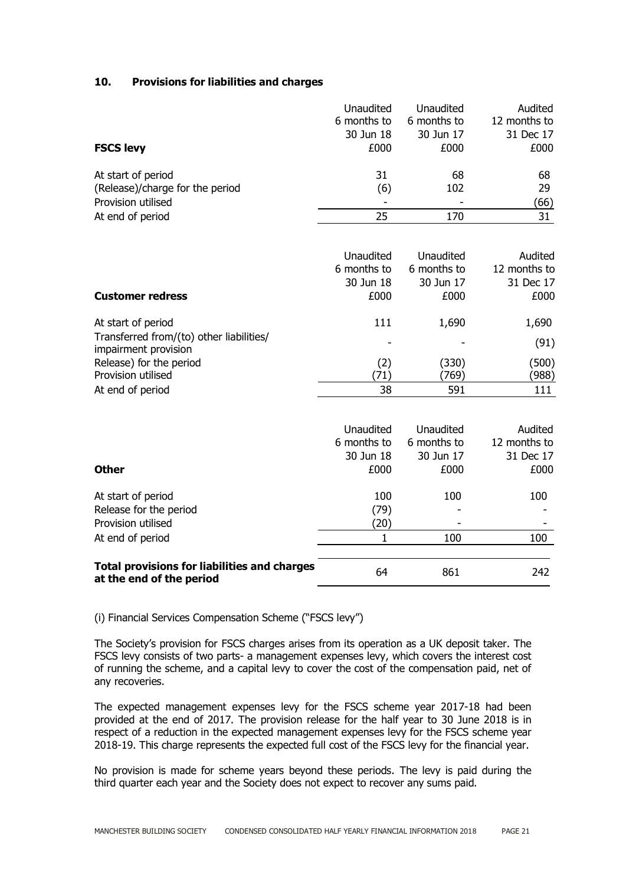# **10. Provisions for liabilities and charges**

| <b>FSCS levy</b>                                                                | Unaudited<br>6 months to<br>30 Jun 18<br>£000 | Unaudited<br>6 months to<br>30 Jun 17<br>£000 | Audited<br>12 months to<br>31 Dec 17<br>£000 |
|---------------------------------------------------------------------------------|-----------------------------------------------|-----------------------------------------------|----------------------------------------------|
|                                                                                 |                                               |                                               |                                              |
| At start of period                                                              | 31                                            | 68                                            | 68                                           |
| (Release)/charge for the period<br>Provision utilised                           | (6)<br>$\overline{\phantom{a}}$               | 102                                           | 29<br>(66)                                   |
| At end of period                                                                | 25                                            | 170                                           | 31                                           |
|                                                                                 |                                               |                                               |                                              |
|                                                                                 | Unaudited                                     | Unaudited                                     | Audited                                      |
|                                                                                 | 6 months to                                   | 6 months to                                   | 12 months to                                 |
|                                                                                 | 30 Jun 18                                     | 30 Jun 17                                     | 31 Dec 17                                    |
| <b>Customer redress</b>                                                         | £000                                          | £000                                          | £000                                         |
| At start of period                                                              | 111                                           | 1,690                                         | 1,690                                        |
| Transferred from/(to) other liabilities/<br>impairment provision                |                                               |                                               | (91)                                         |
| Release) for the period                                                         | (2)                                           | (330)                                         | (500)                                        |
| Provision utilised                                                              | (71)                                          | (769)                                         | (988)                                        |
| At end of period                                                                | 38                                            | 591                                           | 111                                          |
|                                                                                 | Unaudited                                     | <b>Unaudited</b>                              | Audited                                      |
|                                                                                 | 6 months to                                   | 6 months to                                   | 12 months to                                 |
|                                                                                 | 30 Jun 18                                     | 30 Jun 17                                     | 31 Dec 17                                    |
| <b>Other</b>                                                                    | £000                                          | £000                                          | £000                                         |
| At start of period                                                              | 100                                           | 100                                           | 100                                          |
| Release for the period                                                          | (79)                                          |                                               |                                              |
| Provision utilised                                                              | (20)                                          |                                               |                                              |
| At end of period                                                                | 1                                             | 100                                           | 100                                          |
| <b>Total provisions for liabilities and charges</b><br>at the end of the period | 64                                            | 861                                           | 242                                          |

(i) Financial Services Compensation Scheme ("FSCS levy")

The Society's provision for FSCS charges arises from its operation as a UK deposit taker. The FSCS levy consists of two parts- a management expenses levy, which covers the interest cost of running the scheme, and a capital levy to cover the cost of the compensation paid, net of any recoveries.

The expected management expenses levy for the FSCS scheme year 2017-18 had been provided at the end of 2017. The provision release for the half year to 30 June 2018 is in respect of a reduction in the expected management expenses levy for the FSCS scheme year 2018-19. This charge represents the expected full cost of the FSCS levy for the financial year.

No provision is made for scheme years beyond these periods. The levy is paid during the third quarter each year and the Society does not expect to recover any sums paid.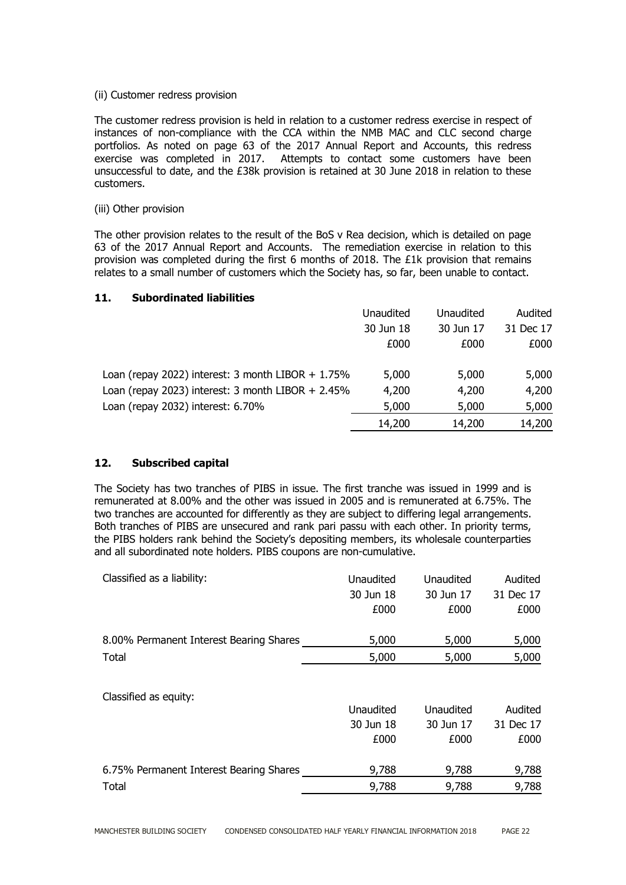#### (ii) Customer redress provision

The customer redress provision is held in relation to a customer redress exercise in respect of instances of non-compliance with the CCA within the NMB MAC and CLC second charge portfolios. As noted on page 63 of the 2017 Annual Report and Accounts, this redress exercise was completed in 2017. Attempts to contact some customers have been unsuccessful to date, and the £38k provision is retained at 30 June 2018 in relation to these customers.

#### (iii) Other provision

The other provision relates to the result of the BoS v Rea decision, which is detailed on page 63 of the 2017 Annual Report and Accounts. The remediation exercise in relation to this provision was completed during the first 6 months of 2018. The £1k provision that remains relates to a small number of customers which the Society has, so far, been unable to contact.

# **11. Subordinated liabilities**

|                                                      | Unaudited | Unaudited | Audited   |
|------------------------------------------------------|-----------|-----------|-----------|
|                                                      | 30 Jun 18 | 30 Jun 17 | 31 Dec 17 |
|                                                      | £000      | £000      | £000      |
| Loan (repay 2022) interest: 3 month LIBOR $+ 1.75\%$ | 5,000     | 5,000     | 5,000     |
| Loan (repay 2023) interest: 3 month LIBOR $+ 2.45\%$ | 4,200     | 4,200     | 4,200     |
| Loan (repay 2032) interest: 6.70%                    | 5,000     | 5,000     | 5,000     |
|                                                      | 14,200    | 14,200    | 14,200    |

# **12. Subscribed capital**

The Society has two tranches of PIBS in issue. The first tranche was issued in 1999 and is remunerated at 8.00% and the other was issued in 2005 and is remunerated at 6.75%. The two tranches are accounted for differently as they are subject to differing legal arrangements. Both tranches of PIBS are unsecured and rank pari passu with each other. In priority terms, the PIBS holders rank behind the Society's depositing members, its wholesale counterparties and all subordinated note holders. PIBS coupons are non-cumulative.

| Classified as a liability:              | Unaudited | Unaudited | Audited   |
|-----------------------------------------|-----------|-----------|-----------|
|                                         | 30 Jun 18 | 30 Jun 17 | 31 Dec 17 |
|                                         | £000      | £000      | £000      |
| 8.00% Permanent Interest Bearing Shares | 5,000     | 5,000     | 5,000     |
| Total                                   | 5,000     | 5,000     | 5,000     |
| Classified as equity:                   | Unaudited | Unaudited | Audited   |
|                                         | 30 Jun 18 | 30 Jun 17 | 31 Dec 17 |
|                                         | £000      | £000      | £000      |

6.75% Permanent Interest Bearing Shares 9,788 9,788 9,788 Total 9,788 9,788 9,788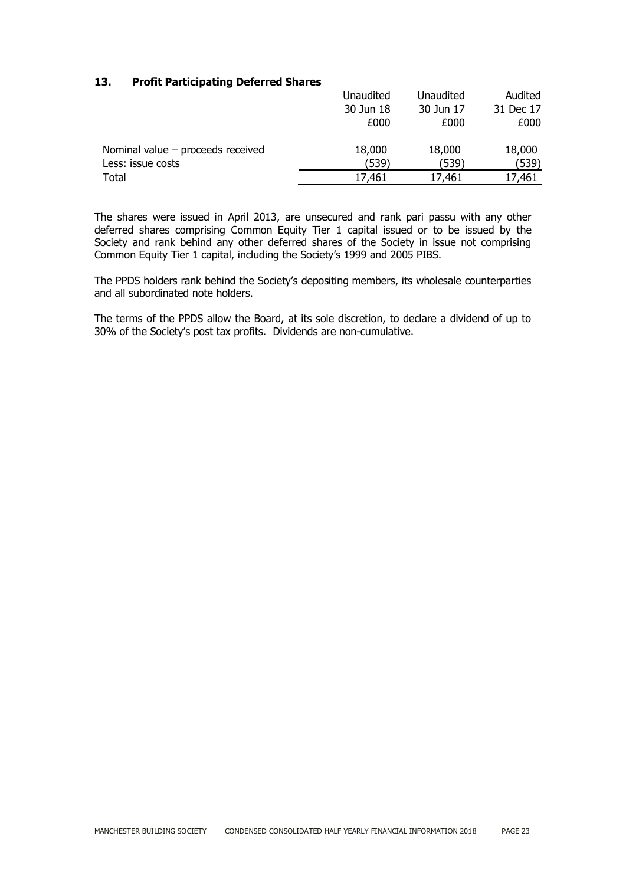# **13. Profit Participating Deferred Shares**

|                                     | Unaudited | Unaudited | Audited   |
|-------------------------------------|-----------|-----------|-----------|
|                                     | 30 Jun 18 | 30 Jun 17 | 31 Dec 17 |
|                                     | £000      | £000      | £000      |
| Nominal value $-$ proceeds received | 18,000    | 18,000    | 18,000    |
| Less: issue costs                   | (539)     | (539)     | (539)     |
| Total                               | 17,461    | 17,461    | 17,461    |

The shares were issued in April 2013, are unsecured and rank pari passu with any other deferred shares comprising Common Equity Tier 1 capital issued or to be issued by the Society and rank behind any other deferred shares of the Society in issue not comprising Common Equity Tier 1 capital, including the Society's 1999 and 2005 PIBS.

The PPDS holders rank behind the Society's depositing members, its wholesale counterparties and all subordinated note holders.

The terms of the PPDS allow the Board, at its sole discretion, to declare a dividend of up to 30% of the Society's post tax profits. Dividends are non-cumulative.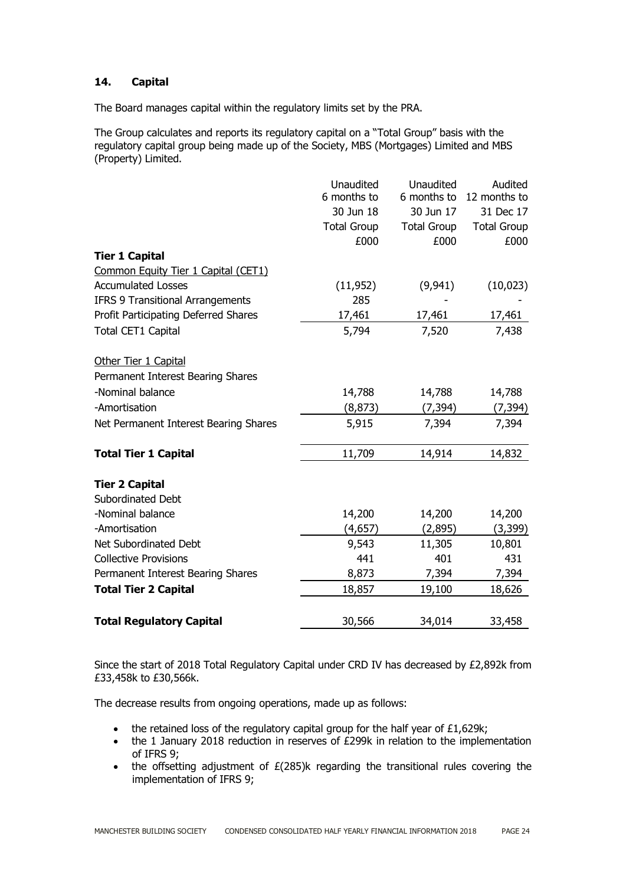# **14. Capital**

The Board manages capital within the regulatory limits set by the PRA.

The Group calculates and reports its regulatory capital on a "Total Group" basis with the regulatory capital group being made up of the Society, MBS (Mortgages) Limited and MBS (Property) Limited.

|                                         | Unaudited          | Unaudited          | Audited            |
|-----------------------------------------|--------------------|--------------------|--------------------|
|                                         | 6 months to        | 6 months to        | 12 months to       |
|                                         | 30 Jun 18          | 30 Jun 17          | 31 Dec 17          |
|                                         | <b>Total Group</b> | <b>Total Group</b> | <b>Total Group</b> |
|                                         | £000               | £000               | £000               |
| <b>Tier 1 Capital</b>                   |                    |                    |                    |
| Common Equity Tier 1 Capital (CET1)     |                    |                    |                    |
| <b>Accumulated Losses</b>               | (11, 952)          | (9,941)            | (10, 023)          |
| <b>IFRS 9 Transitional Arrangements</b> | 285                |                    |                    |
| Profit Participating Deferred Shares    | 17,461             | 17,461             | 17,461             |
| <b>Total CET1 Capital</b>               | 5,794              | 7,520              | 7,438              |
| Other Tier 1 Capital                    |                    |                    |                    |
| Permanent Interest Bearing Shares       |                    |                    |                    |
| -Nominal balance                        | 14,788             | 14,788             | 14,788             |
| -Amortisation                           | (8, 873)           | (7, 394)           | (7, 394)           |
| Net Permanent Interest Bearing Shares   | 5,915              | 7,394              | 7,394              |
| <b>Total Tier 1 Capital</b>             | 11,709             | 14,914             | 14,832             |
| <b>Tier 2 Capital</b>                   |                    |                    |                    |
| Subordinated Debt                       |                    |                    |                    |
| -Nominal balance                        | 14,200             | 14,200             | 14,200             |
| -Amortisation                           | (4,657)            | (2,895)            | (3, 399)           |
| Net Subordinated Debt                   | 9,543              | 11,305             | 10,801             |
| <b>Collective Provisions</b>            | 441                | 401                | 431                |
| Permanent Interest Bearing Shares       | 8,873              | 7,394              | 7,394              |
| <b>Total Tier 2 Capital</b>             | 18,857             | 19,100             | 18,626             |
| <b>Total Regulatory Capital</b>         | 30,566             | 34,014             | 33,458             |

Since the start of 2018 Total Regulatory Capital under CRD IV has decreased by £2,892k from £33,458k to £30,566k.

The decrease results from ongoing operations, made up as follows:

- $\bullet$  the retained loss of the regulatory capital group for the half year of £1,629k;
- the 1 January 2018 reduction in reserves of £299k in relation to the implementation of IFRS 9;
- the offsetting adjustment of  $E(285)$ k regarding the transitional rules covering the implementation of IFRS 9;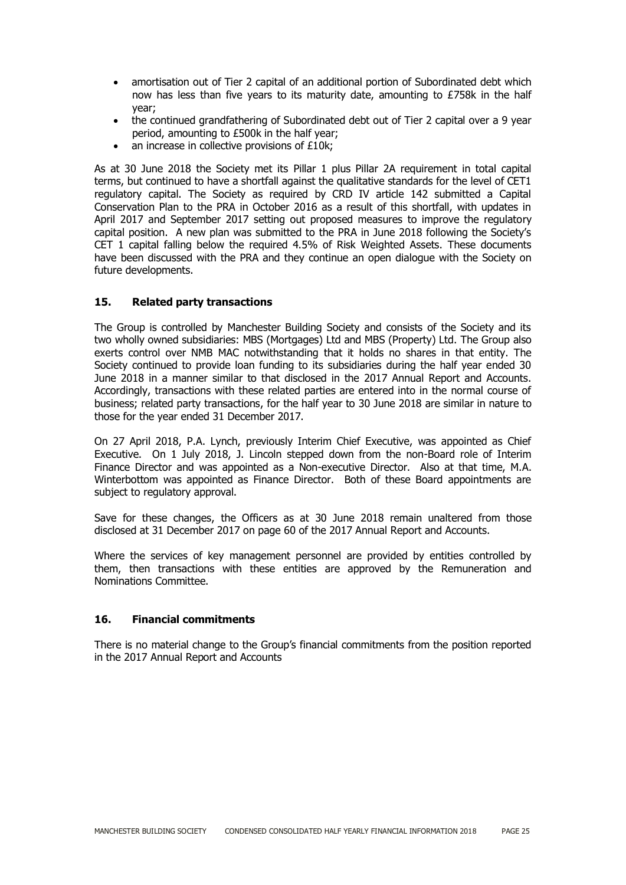- amortisation out of Tier 2 capital of an additional portion of Subordinated debt which now has less than five years to its maturity date, amounting to £758k in the half year;
- the continued grandfathering of Subordinated debt out of Tier 2 capital over a 9 year period, amounting to £500k in the half year;
- an increase in collective provisions of £10k;

As at 30 June 2018 the Society met its Pillar 1 plus Pillar 2A requirement in total capital terms, but continued to have a shortfall against the qualitative standards for the level of CET1 regulatory capital. The Society as required by CRD IV article 142 submitted a Capital Conservation Plan to the PRA in October 2016 as a result of this shortfall, with updates in April 2017 and September 2017 setting out proposed measures to improve the regulatory capital position. A new plan was submitted to the PRA in June 2018 following the Society's CET 1 capital falling below the required 4.5% of Risk Weighted Assets. These documents have been discussed with the PRA and they continue an open dialogue with the Society on future developments.

# **15. Related party transactions**

The Group is controlled by Manchester Building Society and consists of the Society and its two wholly owned subsidiaries: MBS (Mortgages) Ltd and MBS (Property) Ltd. The Group also exerts control over NMB MAC notwithstanding that it holds no shares in that entity. The Society continued to provide loan funding to its subsidiaries during the half year ended 30 June 2018 in a manner similar to that disclosed in the 2017 Annual Report and Accounts. Accordingly, transactions with these related parties are entered into in the normal course of business; related party transactions, for the half year to 30 June 2018 are similar in nature to those for the year ended 31 December 2017.

On 27 April 2018, P.A. Lynch, previously Interim Chief Executive, was appointed as Chief Executive. On 1 July 2018, J. Lincoln stepped down from the non-Board role of Interim Finance Director and was appointed as a Non-executive Director. Also at that time, M.A. Winterbottom was appointed as Finance Director. Both of these Board appointments are subject to regulatory approval.

Save for these changes, the Officers as at 30 June 2018 remain unaltered from those disclosed at 31 December 2017 on page 60 of the 2017 Annual Report and Accounts.

Where the services of key management personnel are provided by entities controlled by them, then transactions with these entities are approved by the Remuneration and Nominations Committee.

# **16. Financial commitments**

There is no material change to the Group's financial commitments from the position reported in the 2017 Annual Report and Accounts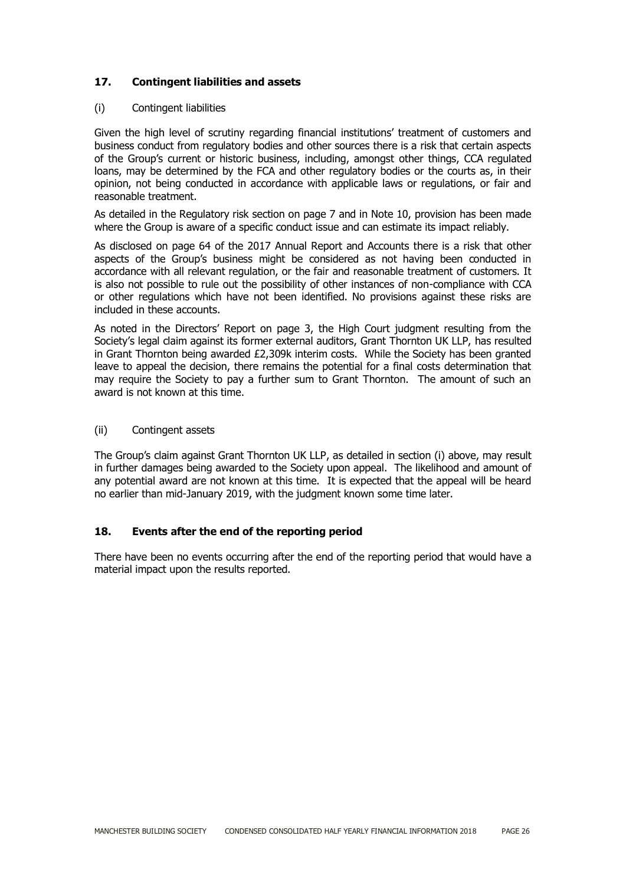# **17. Contingent liabilities and assets**

#### (i) Contingent liabilities

Given the high level of scrutiny regarding financial institutions' treatment of customers and business conduct from regulatory bodies and other sources there is a risk that certain aspects of the Group's current or historic business, including, amongst other things, CCA regulated loans, may be determined by the FCA and other regulatory bodies or the courts as, in their opinion, not being conducted in accordance with applicable laws or regulations, or fair and reasonable treatment.

As detailed in the Regulatory risk section on page 7 and in Note 10, provision has been made where the Group is aware of a specific conduct issue and can estimate its impact reliably.

As disclosed on page 64 of the 2017 Annual Report and Accounts there is a risk that other aspects of the Group's business might be considered as not having been conducted in accordance with all relevant regulation, or the fair and reasonable treatment of customers. It is also not possible to rule out the possibility of other instances of non-compliance with CCA or other regulations which have not been identified. No provisions against these risks are included in these accounts.

As noted in the Directors' Report on page 3, the High Court judgment resulting from the Society's legal claim against its former external auditors, Grant Thornton UK LLP, has resulted in Grant Thornton being awarded  $£2,309k$  interim costs. While the Society has been granted leave to appeal the decision, there remains the potential for a final costs determination that may require the Society to pay a further sum to Grant Thornton. The amount of such an award is not known at this time.

#### (ii) Contingent assets

The Group's claim against Grant Thornton UK LLP, as detailed in section (i) above, may result in further damages being awarded to the Society upon appeal. The likelihood and amount of any potential award are not known at this time. It is expected that the appeal will be heard no earlier than mid-January 2019, with the judgment known some time later.

# **18. Events after the end of the reporting period**

There have been no events occurring after the end of the reporting period that would have a material impact upon the results reported.